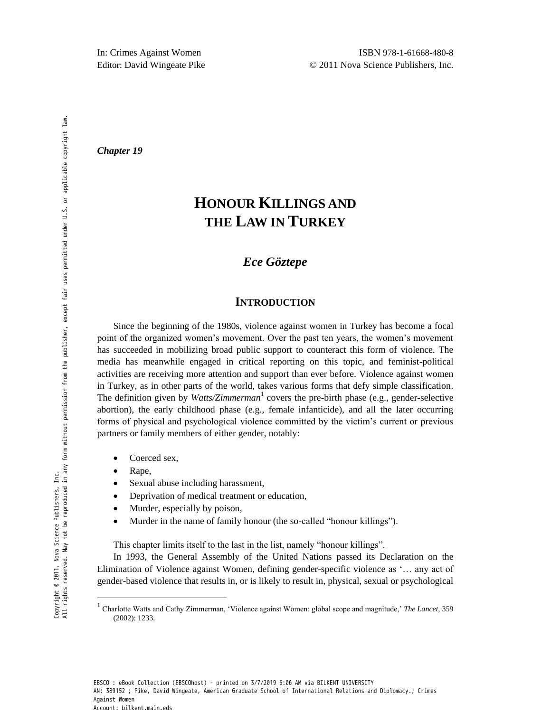*Chapter 19* 

# **HONOUR KILLINGS AND THE LAW IN TURKEY**

# *Ece Göztepe*

## **INTRODUCTION**

Since the beginning of the 1980s, violence against women in Turkey has become a focal point of the organized women's movement. Over the past ten years, the women's movement has succeeded in mobilizing broad public support to counteract this form of violence. The media has meanwhile engaged in critical reporting on this topic, and feminist-political activities are receiving more attention and support than ever before. Violence against women in Turkey, as in other parts of the world, takes various forms that defy simple classification. The definition given by *Watts/Zimmerman*<sup>1</sup> covers the pre-birth phase (e.g., gender-selective abortion), the early childhood phase (e.g., female infanticide), and all the later occurring forms of physical and psychological violence committed by the victim's current or previous partners or family members of either gender, notably:

- Coerced sex,
- Rape,

<u>.</u>

Copyright @ 2011. Nova Science Publishers, Inc.

- Sexual abuse including harassment,
- Deprivation of medical treatment or education,
- Murder, especially by poison,
- Murder in the name of family honour (the so-called "honour killings").

This chapter limits itself to the last in the list, namely "honour killings".

In 1993, the General Assembly of the United Nations passed its Declaration on the Elimination of Violence against Women, defining gender-specific violence as ‗… any act of gender-based violence that results in, or is likely to result in, physical, sexual or psychological

<sup>&</sup>lt;sup>1</sup> Charlotte Watts and Cathy Zimmerman, 'Violence against Women: global scope and magnitude,' *The Lancet*, 359 (2002): 1233.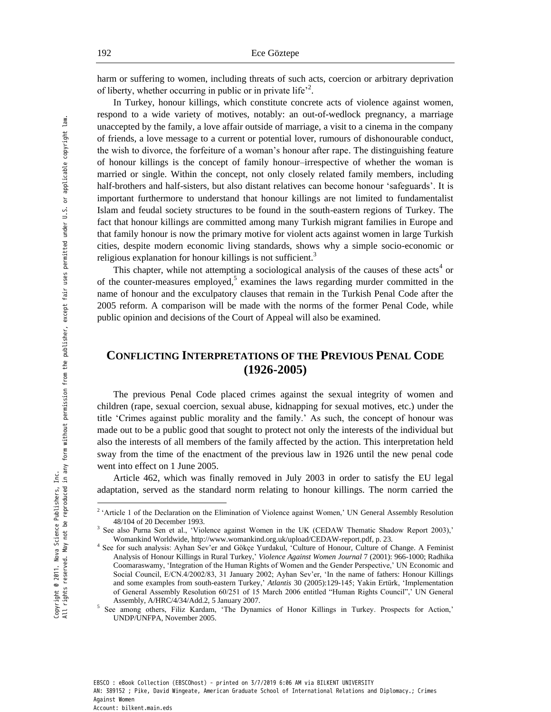harm or suffering to women, including threats of such acts, coercion or arbitrary deprivation of liberty, whether occurring in public or in private life<sup> $2$ </sup>.

In Turkey, honour killings, which constitute concrete acts of violence against women, respond to a wide variety of motives, notably: an out-of-wedlock pregnancy, a marriage unaccepted by the family, a love affair outside of marriage, a visit to a cinema in the company of friends, a love message to a current or potential lover, rumours of dishonourable conduct, the wish to divorce, the forfeiture of a woman's honour after rape. The distinguishing feature of honour killings is the concept of family honour–irrespective of whether the woman is married or single. Within the concept, not only closely related family members, including half-brothers and half-sisters, but also distant relatives can become honour 'safeguards'. It is important furthermore to understand that honour killings are not limited to fundamentalist Islam and feudal society structures to be found in the south-eastern regions of Turkey. The fact that honour killings are committed among many Turkish migrant families in Europe and that family honour is now the primary motive for violent acts against women in large Turkish cities, despite modern economic living standards, shows why a simple socio-economic or religious explanation for honour killings is not sufficient.<sup>3</sup>

This chapter, while not attempting a sociological analysis of the causes of these  $acts<sup>4</sup>$  or of the counter-measures employed,<sup>5</sup> examines the laws regarding murder committed in the name of honour and the exculpatory clauses that remain in the Turkish Penal Code after the 2005 reform. A comparison will be made with the norms of the former Penal Code, while public opinion and decisions of the Court of Appeal will also be examined.

# **CONFLICTING INTERPRETATIONS OF THE PREVIOUS PENAL CODE (1926-2005)**

The previous Penal Code placed crimes against the sexual integrity of women and children (rape, sexual coercion, sexual abuse, kidnapping for sexual motives, etc.) under the title ‗Crimes against public morality and the family.' As such, the concept of honour was made out to be a public good that sought to protect not only the interests of the individual but also the interests of all members of the family affected by the action. This interpretation held sway from the time of the enactment of the previous law in 1926 until the new penal code went into effect on 1 June 2005.

Article 462, which was finally removed in July 2003 in order to satisfy the EU legal adaptation, served as the standard norm relating to honour killings. The norm carried the

-

<sup>&</sup>lt;sup>2</sup> 'Article 1 of the Declaration on the Elimination of Violence against Women,' UN General Assembly Resolution 48/104 of 20 December 1993.

<sup>&</sup>lt;sup>3</sup> See also Purna Sen et al., 'Violence against Women in the UK (CEDAW Thematic Shadow Report 2003),' Womankind Worldwide[, http://www.womankind.org.uk/upload/CEDAW-report.pdf,](http://www.womankind.org.uk/upload/CEDAW-report.pdf) p. 23.

<sup>4</sup> See for such analysis: Ayhan Sev'er and Gökçe Yurdakul, [‗Culture of Honour, Culture of Change.](http://www.utsc.utoronto.ca/~socsci/sever/pubs/culture_of_honour.pdf) A Feminist Analysis of Honour Killing[s in Rural Turkey,](http://www.utsc.utoronto.ca/~socsci/sever/pubs/honorkillings.html)' *Violence Against Women Journal* 7 (2001): 966-1000; Radhika Coomaraswamy, 'Integration of the Human Rights of Women and the Gender Perspective,' UN Economic and Social Council, E/CN.4/2002/83, 31 January 2002; Ayhan Sev'er, 'In the name of fathers: Honour Killings [and some examples from south-eastern Turkey,'](http://www.utsc.utoronto.ca/~socsci/sever/pubs/name_of_fathers.pdf) *Atlantis* 30 (2005):129-145; Yakin Ertürk, 'Implementation of General Assembly Resolution 60/251 of 15 March 2006 entitled "Human Rights Council",' UN General Assembly, A/HRC/4/34/Add.2, 5 January 2007. 5

See among others, Filiz Kardam, 'The Dynamics of Honor Killings in Turkey. Prospects for Action,' UNDP/UNFPA, November 2005.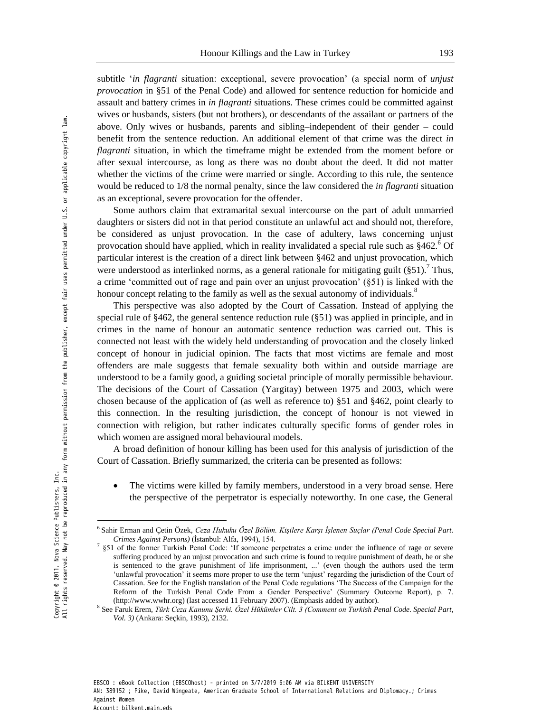subtitle ‗*in flagranti* situation: exceptional, severe provocation' (a special norm of *unjust provocation* in §51 of the Penal Code) and allowed for sentence reduction for homicide and assault and battery crimes in *in flagranti* situations. These crimes could be committed against wives or husbands, sisters (but not brothers), or descendants of the assailant or partners of the above. Only wives or husbands, parents and sibling–independent of their gender – could benefit from the sentence reduction. An additional element of that crime was the direct *in flagranti* situation, in which the timeframe might be extended from the moment before or after sexual intercourse, as long as there was no doubt about the deed. It did not matter whether the victims of the crime were married or single. According to this rule, the sentence would be reduced to 1/8 the normal penalty, since the law considered the *in flagranti* situation as an exceptional, severe provocation for the offender.

Some authors claim that extramarital sexual intercourse on the part of adult unmarried daughters or sisters did not in that period constitute an unlawful act and should not, therefore, be considered as unjust provocation. In the case of adultery, laws concerning unjust provocation should have applied, which in reality invalidated a special rule such as  $§462^\circ$ .<sup>6</sup> Of particular interest is the creation of a direct link between §462 and unjust provocation, which were understood as interlinked norms, as a general rationale for mitigating guilt  $(\S 51)$ .<sup>7</sup> Thus, a crime 'committed out of rage and pain over an unjust provocation' (§51) is linked with the honour concept relating to the family as well as the sexual autonomy of individuals.<sup>8</sup>

This perspective was also adopted by the Court of Cassation. Instead of applying the special rule of §462, the general sentence reduction rule (§51) was applied in principle, and in crimes in the name of honour an automatic sentence reduction was carried out. This is connected not least with the widely held understanding of provocation and the closely linked concept of honour in judicial opinion. The facts that most victims are female and most offenders are male suggests that female sexuality both within and outside marriage are understood to be a family good, a guiding societal principle of morally permissible behaviour. The decisions of the Court of Cassation (Yargitay) between 1975 and 2003, which were chosen because of the application of (as well as reference to) §51 and §462, point clearly to this connection. In the resulting jurisdiction, the concept of honour is not viewed in connection with religion, but rather indicates culturally specific forms of gender roles in which women are assigned moral behavioural models.

A broad definition of honour killing has been used for this analysis of jurisdiction of the Court of Cassation. Briefly summarized, the criteria can be presented as follows:

 The victims were killed by family members, understood in a very broad sense. Here the perspective of the perpetrator is especially noteworthy. In one case, the General

-

<sup>6</sup> Sahir Erman and Çetin Özek, *Ceza Hukuku Özel Bölüm. Kişilere Karşı İşlenen Suçlar (Penal Code Special Part. Crimes Against Persons)* (İstanbul: Alfa, 1994), 154.

<sup>7</sup> §51 of the former Turkish Penal Code: ‗If someone perpetrates a crime under the influence of rage or severe suffering produced by an unjust provocation and such crime is found to require punishment of death, he or she is sentenced to the grave punishment of life imprisonment, ...' (even though the authors used the term ‗unlawful provocation' it seems more proper to use the term ‗unjust' regarding the jurisdiction of the Court of Cassation. See for the English translation of the Penal Code regulations ‗The Success of the Campaign for the Reform of the Turkish Penal Code From a Gender Perspective' (Summary Outcome Report), p. 7. [\(http://www.wwhr.org\)](http://www.wwhr.org/) (last accessed 11 February 2007). (Emphasis added by author).

<sup>8</sup> See Faruk Erem, *Türk Ceza Kanunu Şerhi. Özel Hükümler Cilt. 3 (Comment on Turkish Penal Code. Special Part, Vol. 3)* (Ankara: Seçkin, 1993), 2132.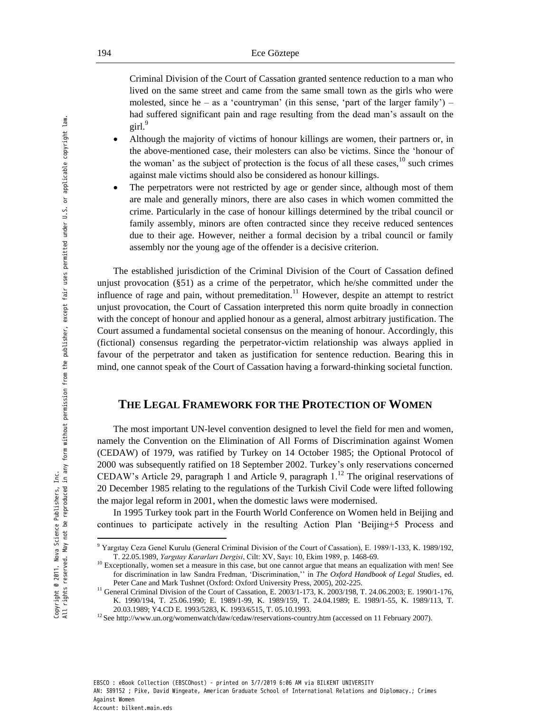Criminal Division of the Court of Cassation granted sentence reduction to a man who lived on the same street and came from the same small town as the girls who were molested, since he – as a 'countryman' (in this sense, 'part of the larger family') – had suffered significant pain and rage resulting from the dead man's assault on the girl. $9$ 

- Although the majority of victims of honour killings are women, their partners or, in the above-mentioned case, their molesters can also be victims. Since the 'honour of the woman' as the subject of protection is the focus of all these cases,  $10$  such crimes against male victims should also be considered as honour killings.
- The perpetrators were not restricted by age or gender since, although most of them are male and generally minors, there are also cases in which women committed the crime. Particularly in the case of honour killings determined by the tribal council or family assembly, minors are often contracted since they receive reduced sentences due to their age. However, neither a formal decision by a tribal council or family assembly nor the young age of the offender is a decisive criterion.

The established jurisdiction of the Criminal Division of the Court of Cassation defined unjust provocation (§51) as a crime of the perpetrator, which he/she committed under the influence of rage and pain, without premeditation.<sup>11</sup> However, despite an attempt to restrict unjust provocation, the Court of Cassation interpreted this norm quite broadly in connection with the concept of honour and applied honour as a general, almost arbitrary justification. The Court assumed a fundamental societal consensus on the meaning of honour. Accordingly, this (fictional) consensus regarding the perpetrator-victim relationship was always applied in favour of the perpetrator and taken as justification for sentence reduction. Bearing this in mind, one cannot speak of the Court of Cassation having a forward-thinking societal function.

## **THE LEGAL FRAMEWORK FOR THE PROTECTION OF WOMEN**

The most important UN-level convention designed to level the field for men and women, namely the Convention on the Elimination of All Forms of Discrimination against Women (CEDAW) of 1979, was ratified by Turkey on 14 October 1985; the Optional Protocol of 2000 was subsequently ratified on 18 September 2002. Turkey's only reservations concerned CEDAW's Article 29, paragraph 1 and Article 9, paragraph  $1^{12}$ . The original reservations of 20 December 1985 relating to the regulations of the Turkish Civil Code were lifted following the major legal reform in 2001, when the domestic laws were modernised.

In 1995 Turkey took part in the Fourth World Conference on Women held in Beijing and continues to participate actively in the resulting Action Plan 'Beijing+5 Process and

-

<sup>9</sup> Yargıtay Ceza Genel Kurulu (General Criminal Division of the Court of Cassation), E. 1989/1-133, K. 1989/192, T. 22.05.1989, *Yargıtay Kararları Dergisi*, Cilt: XV, Sayı: 10, Ekim 1989, p. 1468-69.

<sup>&</sup>lt;sup>10</sup> Exceptionally, women set a measure in this case, but one cannot argue that means an equalization with men! See for discrimination in law Sandra Fredman, ‗Discrimination,'' in *The Oxford Handbook of Legal Studies*, ed. Peter Cane and Mark Tushnet (Oxford: Oxford University Press, 2005), 202-225.

<sup>&</sup>lt;sup>11</sup> General Criminal Division of the Court of Cassation, E. 2003/1-173, K. 2003/198, T. 24.06.2003; E. 1990/1-176, K. 1990/194, T. 25.06.1990; E. 1989/1-99, K. 1989/159, T. 24.04.1989; E. 1989/1-55, K. 1989/113, T. 20.03.1989; Y4.CD E. 1993/5283, K. 1993/6515, T. 05.10.1993.

<sup>12</sup> Se[e http://www.un.org/womenwatch/daw/cedaw/reservations-country.htm](http://www.un.org/womenwatch/daw/cedaw/reservations-country.htm) (accessed on 11 February 2007).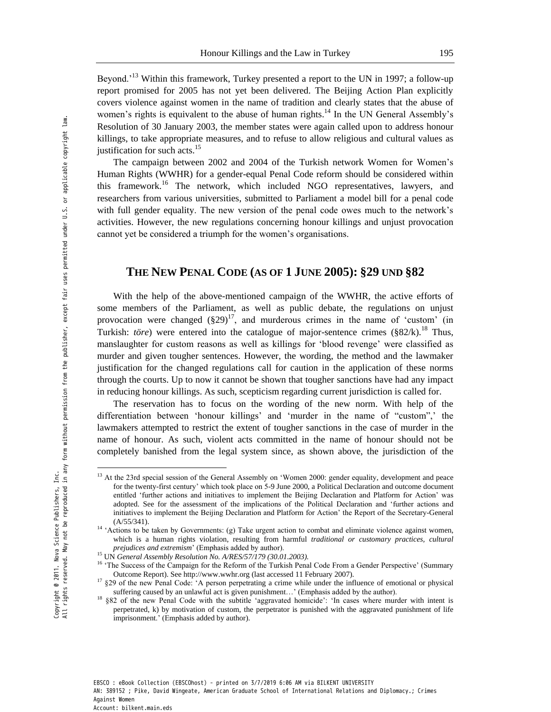Beyond.<sup>'13</sup> Within this framework, Turkey presented a report to the UN in 1997; a follow-up report promised for 2005 has not yet been delivered. The Beijing Action Plan explicitly covers violence against women in the name of tradition and clearly states that the abuse of women's rights is equivalent to the abuse of human rights.<sup>14</sup> In the UN General Assembly's Resolution of 30 January 2003, the member states were again called upon to address honour killings, to take appropriate measures, and to refuse to allow religious and cultural values as justification for such acts.<sup>15</sup>

The campaign between 2002 and 2004 of the Turkish network Women for Women's Human Rights (WWHR) for a gender-equal Penal Code reform should be considered within this framework.<sup>16</sup> The network, which included NGO representatives, lawyers, and researchers from various universities, submitted to Parliament a model bill for a penal code with full gender equality. The new version of the penal code owes much to the network's activities. However, the new regulations concerning honour killings and unjust provocation cannot yet be considered a triumph for the women's organisations.

### **THE NEW PENAL CODE (AS OF 1 JUNE 2005): §29 UND §82**

With the help of the above-mentioned campaign of the WWHR, the active efforts of some members of the Parliament, as well as public debate, the regulations on unjust provocation were changed  $(\S 29)^{17}$ , and murderous crimes in the name of 'custom' (in Turkish: *töre*) were entered into the catalogue of major-sentence crimes (§82/k).<sup>18</sup> Thus, manslaughter for custom reasons as well as killings for 'blood revenge' were classified as murder and given tougher sentences. However, the wording, the method and the lawmaker justification for the changed regulations call for caution in the application of these norms through the courts. Up to now it cannot be shown that tougher sanctions have had any impact in reducing honour killings. As such, scepticism regarding current jurisdiction is called for.

The reservation has to focus on the wording of the new norm. With help of the differentiation between 'honour killings' and 'murder in the name of "custom",' the lawmakers attempted to restrict the extent of tougher sanctions in the case of murder in the name of honour. As such, violent acts committed in the name of honour should not be completely banished from the legal system since, as shown above, the jurisdiction of the

<u>.</u>

<sup>&</sup>lt;sup>13</sup> At the 23rd special session of the General Assembly on 'Women 2000: gender equality, development and peace for the twenty-first century' which took place on 5-9 June 2000, a Political Declaration and outcome document entitled ‗further actions and initiatives to implement the Beijing Declaration and Platform for Action' was adopted. See for the assessment of the implications of the Political Declaration and 'further actions and initiatives to implement the Beijing Declaration and Platform for Action' the Report of the Secretary-General  $(A/55/341)$ .

<sup>&</sup>lt;sup>14</sup> <sup>4</sup> Actions to be taken by Governments: (g) Take urgent action to combat and eliminate violence against women, which is a human rights violation, resulting from harmful *traditional or customary practices, cultural prejudices and extremism*' (Emphasis added by author).

<sup>15</sup> UN *General Assembly Resolution No. A/RES/57/179 (30.01.2003).* 

<sup>&</sup>lt;sup>16</sup> 'The Success of the Campaign for the Reform of the Turkish Penal Code From a Gender Perspective' (Summary Outcome Report). See [http://www.wwhr.org \(](http://www.wwhr.org/)last accessed 11 February 2007).

<sup>&</sup>lt;sup>17</sup> §29 of the new Penal Code: 'A person perpetrating a crime while under the influence of emotional or physical suffering caused by an unlawful act is given punishment…' (Emphasis added by the author).

<sup>18</sup> §82 of the new Penal Code with the subtitle ‗aggravated homicide': ‗In cases where murder with intent is perpetrated, k) by motivation of custom, the perpetrator is punished with the aggravated punishment of life imprisonment.' (Emphasis added by author).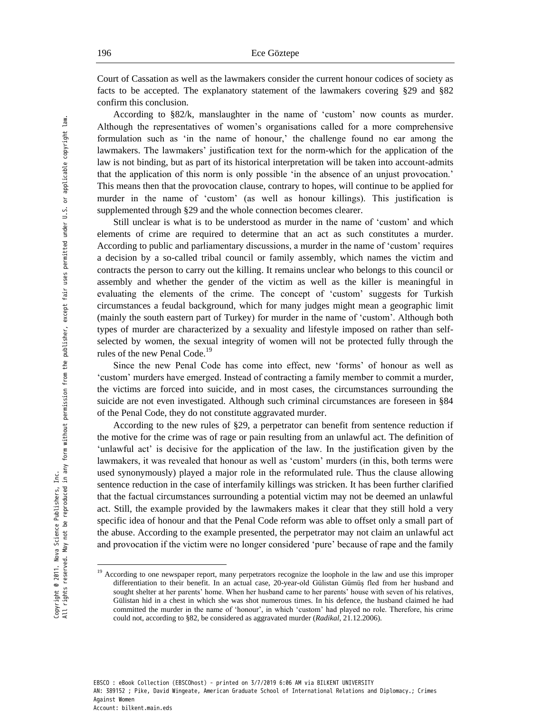Court of Cassation as well as the lawmakers consider the current honour codices of society as facts to be accepted. The explanatory statement of the lawmakers covering §29 and §82 confirm this conclusion.

According to §82/k, manslaughter in the name of ‗custom' now counts as murder. Although the representatives of women's organisations called for a more comprehensive formulation such as ‗in the name of honour,' the challenge found no ear among the lawmakers. The lawmakers' justification text for the norm-which for the application of the law is not binding, but as part of its historical interpretation will be taken into account-admits that the application of this norm is only possible ‗in the absence of an unjust provocation.' This means then that the provocation clause, contrary to hopes, will continue to be applied for murder in the name of 'custom' (as well as honour killings). This justification is supplemented through §29 and the whole connection becomes clearer.

Still unclear is what is to be understood as murder in the name of 'custom' and which elements of crime are required to determine that an act as such constitutes a murder. According to public and parliamentary discussions, a murder in the name of 'custom' requires a decision by a so-called tribal council or family assembly, which names the victim and contracts the person to carry out the killing. It remains unclear who belongs to this council or assembly and whether the gender of the victim as well as the killer is meaningful in evaluating the elements of the crime. The concept of 'custom' suggests for Turkish circumstances a feudal background, which for many judges might mean a geographic limit (mainly the south eastern part of Turkey) for murder in the name of ‗custom'. Although both types of murder are characterized by a sexuality and lifestyle imposed on rather than selfselected by women, the sexual integrity of women will not be protected fully through the rules of the new Penal Code.<sup>19</sup>

Since the new Penal Code has come into effect, new 'forms' of honour as well as ‗custom' murders have emerged. Instead of contracting a family member to commit a murder, the victims are forced into suicide, and in most cases, the circumstances surrounding the suicide are not even investigated. Although such criminal circumstances are foreseen in §84 of the Penal Code, they do not constitute aggravated murder.

According to the new rules of §29, a perpetrator can benefit from sentence reduction if the motive for the crime was of rage or pain resulting from an unlawful act. The definition of ‗unlawful act' is decisive for the application of the law. In the justification given by the lawmakers, it was revealed that honour as well as 'custom' murders (in this, both terms were used synonymously) played a major role in the reformulated rule. Thus the clause allowing sentence reduction in the case of interfamily killings was stricken. It has been further clarified that the factual circumstances surrounding a potential victim may not be deemed an unlawful act. Still, the example provided by the lawmakers makes it clear that they still hold a very specific idea of honour and that the Penal Code reform was able to offset only a small part of the abuse. According to the example presented, the perpetrator may not claim an unlawful act and provocation if the victim were no longer considered 'pure' because of rape and the family

<u>.</u>

<sup>&</sup>lt;sup>19</sup> According to one newspaper report, many perpetrators recognize the loophole in the law and use this improper differentiation to their benefit. In an actual case, 20-year-old Gülistan Gümüş fled from her husband and sought shelter at her parents' home. When her husband came to her parents' house with seven of his relatives, Gülistan hid in a chest in which she was shot numerous times. In his defence, the husband claimed he had committed the murder in the name of ‗honour', in which ‗custom' had played no role. Therefore, his crime could not, according to §82, be considered as aggravated murder (*Radikal*, 21.12.2006).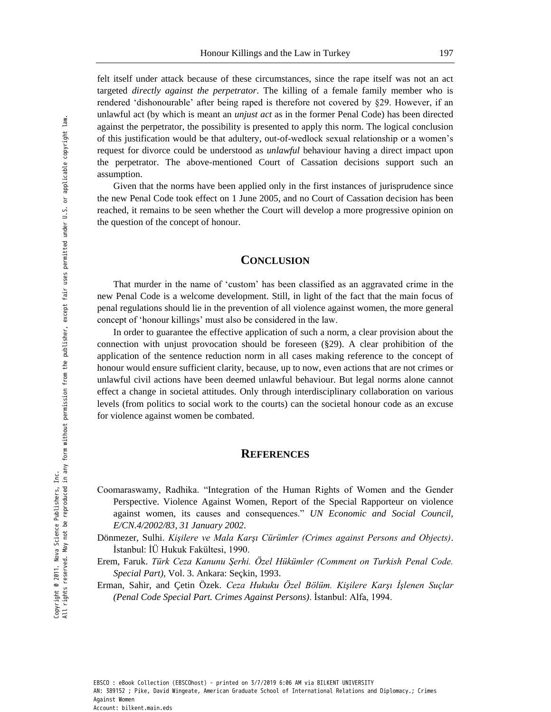felt itself under attack because of these circumstances, since the rape itself was not an act targeted *directly against the perpetrator*. The killing of a female family member who is rendered 'dishonourable' after being raped is therefore not covered by  $\S29$ . However, if an unlawful act (by which is meant an *unjust act* as in the former Penal Code) has been directed against the perpetrator, the possibility is presented to apply this norm. The logical conclusion of this justification would be that adultery, out-of-wedlock sexual relationship or a women's request for divorce could be understood as *unlawful* behaviour having a direct impact upon the perpetrator. The above-mentioned Court of Cassation decisions support such an assumption.

Given that the norms have been applied only in the first instances of jurisprudence since the new Penal Code took effect on 1 June 2005, and no Court of Cassation decision has been reached, it remains to be seen whether the Court will develop a more progressive opinion on the question of the concept of honour.

#### **CONCLUSION**

That murder in the name of 'custom' has been classified as an aggravated crime in the new Penal Code is a welcome development. Still, in light of the fact that the main focus of penal regulations should lie in the prevention of all violence against women, the more general concept of ‗honour killings' must also be considered in the law.

In order to guarantee the effective application of such a norm, a clear provision about the connection with unjust provocation should be foreseen  $(\S 29)$ . A clear prohibition of the application of the sentence reduction norm in all cases making reference to the concept of honour would ensure sufficient clarity, because, up to now, even actions that are not crimes or unlawful civil actions have been deemed unlawful behaviour. But legal norms alone cannot effect a change in societal attitudes. Only through interdisciplinary collaboration on various levels (from politics to social work to the courts) can the societal honour code as an excuse for violence against women be combated.

#### **REFERENCES**

- Coomaraswamy, Radhika. "Integration of the Human Rights of Women and the Gender Perspective. Violence Against Women, Report of the Special Rapporteur on violence against women, its causes and consequences." *UN Economic and Social Council, E/CN.4/2002/83, 31 January 2002*.
- Dönmezer, Sulhi. *Kişilere ve Mala Karşı Cürümler (Crimes against Persons and Objects)*. İstanbul: İÜ Hukuk Fakültesi, 1990.
- Erem, Faruk. *Türk Ceza Kanunu Şerhi. Özel Hükümler (Comment on Turkish Penal Code. Special Part)*, Vol. 3. Ankara: Seçkin, 1993.
- Erman, Sahir, and Çetin Özek. *Ceza Hukuku Özel Bölüm. Kişilere Karşı İşlenen Suçlar (Penal Code Special Part. Crimes Against Persons)*. İstanbul: Alfa, 1994.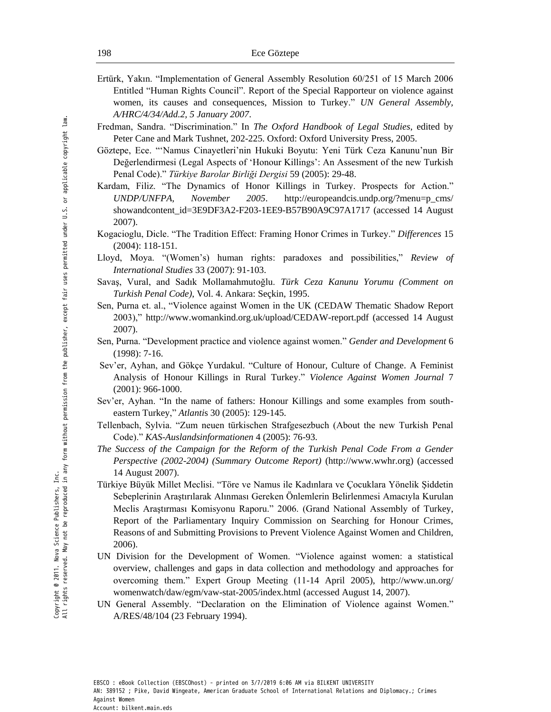- Ertürk, Yakın. "Implementation of General Assembly Resolution 60/251 of 15 March 2006 Entitled "Human Rights Council". Report of the Special Rapporteur on violence against women, its causes and consequences, Mission to Turkey." UN General Assembly, *A/HRC/4/34/Add.2, 5 January 2007*.
- Fredman, Sandra. "Discrimination." In *The Oxford Handbook of Legal Studies*, edited by Peter Cane and Mark Tushnet, 202-225. Oxford: Oxford University Press, 2005.
- Göztepe, Ece. ―‗Namus Cinayetleri'nin Hukuki Boyutu: Yeni Türk Ceza Kanunu'nun Bir Değerlendirmesi (Legal Aspects of ‗Honour Killings': An Assesment of the new Turkish Penal Code).‖ *Türkiye Barolar Birliği Dergisi* 59 (2005): 29-48.
- Kardam, Filiz. "The Dynamics of Honor Killings in Turkey. Prospects for Action." *UNDP/UNFPA, November 2005*. [http://europeandcis.undp.org/?menu=p\\_cms/](http://europeandcis.undp.org/?menu=p_cms/%20showandcontent_id=3E9DF3A2-F203-1EE9-B57B90A9C97A1717)  [showandcontent\\_id=3E9DF3A2-F203-1EE9-B57B90A9C97A1717](http://europeandcis.undp.org/?menu=p_cms/%20showandcontent_id=3E9DF3A2-F203-1EE9-B57B90A9C97A1717) (accessed 14 August 2007).
- Kogacioglu, Dicle. ―The Tradition Effect: Framing Honor Crimes in Turkey.‖ *Differences* 15 (2004): 118-151.
- Lloyd, Moya. "(Women's) human rights: paradoxes and possibilities," Review of *International Studies* 33 (2007): 91-103.
- Savaş, Vural, and Sadık Mollamahmutoğlu. *Türk Ceza Kanunu Yorumu (Comment on Turkish Penal Code)*, Vol. 4. Ankara: Seçkin, 1995.
- Sen, Purna et. al., "Violence against Women in the UK (CEDAW Thematic Shadow Report 2003),"<http://www.womankind.org.uk/upload/CEDAW-report.pdf>(accessed 14 August 2007).
- Sen, Purna. "Development practice and violence against women." *Gender and Development* 6 (1998): 7-16.
- Sev'er, Ayhan, and Gökçe Yurdakul. "Culture of Honour, Culture of Change. A Feminist Analysis of Honour Killings [in Rural Turkey.](http://www.utsc.utoronto.ca/~socsci/sever/pubs/honorkillings.html)‖ *Violence Against Women Journal* 7 (2001): 966-1000.
- Sev'er, Ayhan. "In the name of fathers: Honour Killings and some examples from south[eastern Turkey,](http://www.utsc.utoronto.ca/~socsci/sever/pubs/name_of_fathers.pdf)" *Atlantis* 30 (2005): 129-145.
- Tellenbach, Sylvia. ―Zum neuen türkischen Strafgesezbuch (About the new Turkish Penal Code).‖ *KAS-Auslandsinformationen* 4 (2005): 76-93.
- *The Success of the Campaign for the Reform of the Turkish Penal Code From a Gender Perspective (2002-2004) (Summary Outcome Report)* [\(http://www.wwhr.org\)](http://www.wwhr.org/) (accessed 14 August 2007).
- Türkiye Büyük Millet Meclisi. ―Töre ve Namus ile Kadınlara ve Çocuklara Yönelik Şiddetin Sebeplerinin Araştırılarak Alınması Gereken Önlemlerin Belirlenmesi Amacıyla Kurulan Meclis Araştırması Komisyonu Raporu.‖ 2006. (Grand National Assembly of Turkey, Report of the Parliamentary Inquiry Commission on Searching for Honour Crimes, Reasons of and Submitting Provisions to Prevent Violence Against Women and Children, 2006).
- UN Division for the Development of Women. "Violence against women: a statistical overview, challenges and gaps in data collection and methodology and approaches for overcoming them.‖ Expert Group Meeting (11-14 April 2005), http:/[/www.un.org/](http://www.un.org/%20womenwatch/daw/egm/vaw-stat-2005/index.html)  [womenwatch/daw/egm/vaw-stat-2005/index.html](http://www.un.org/%20womenwatch/daw/egm/vaw-stat-2005/index.html) (accessed August 14, 2007).
- UN General Assembly. "Declaration on the Elimination of Violence against Women." A/RES/48/104 (23 February 1994).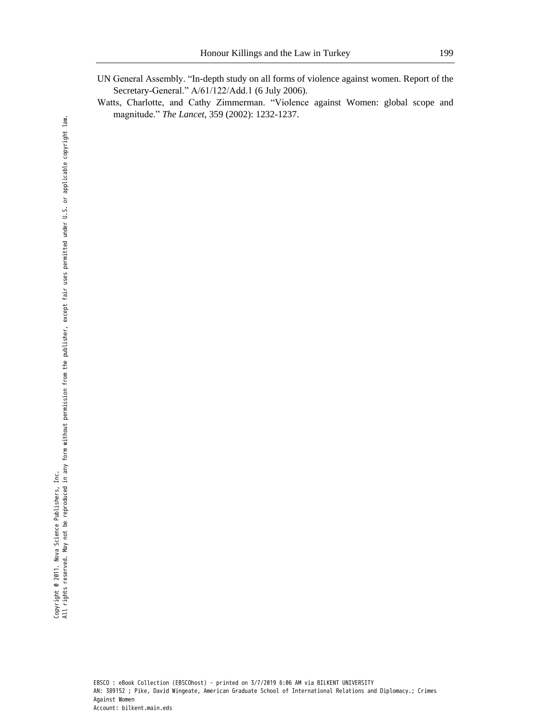- UN General Assembly. "In-depth study on all forms of violence against women. Report of the Secretary-General." A/61/122/Add.1 (6 July 2006).
- Watts, Charlotte, and Cathy Zimmerman. "Violence against Women: global scope and magnitude.‖ *The Lancet,* 359 (2002): 1232-1237.